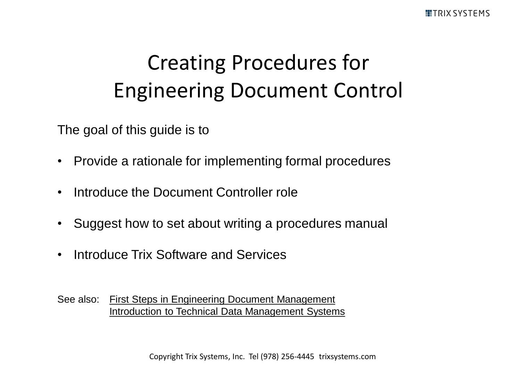# Creating Procedures for Engineering Document Control

The goal of this guide is to

- Provide a rationale for implementing formal procedures
- Introduce the Document Controller role
- Suggest how to set about writing a procedures manual
- Introduce Trix Software and Services
- See also: [First Steps in Engineering Document Management](http://www.trixsystems.com/pdfs/FirstStepsinEngineeringDocumentManagement.pdf) [Introduction to Technical Data Management Systems](http://www.trixsystems.com/pdfs/IntroductionToTechnicalDataManagement.pdf)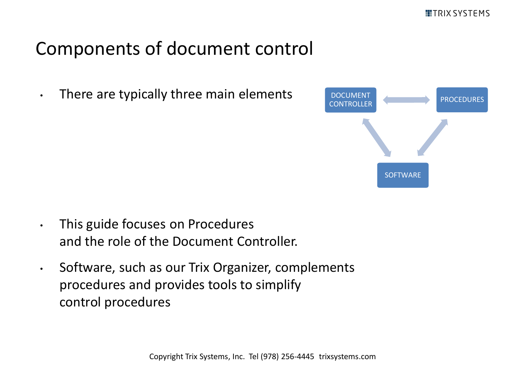#### Components of document control

• There are typically three main elements



- This guide focuses on Procedures and the role of the Document Controller.
- Software, such as our Trix Organizer, complements procedures and provides tools to simplify control procedures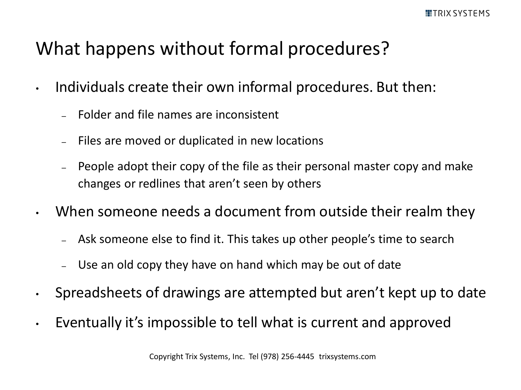#### What happens without formal procedures?

- Individuals create their own informal procedures. But then:
	- Folder and file names are inconsistent
	- Files are moved or duplicated in new locations
	- People adopt their copy of the file as their personal master copy and make changes or redlines that aren't seen by others
- When someone needs a document from outside their realm they
	- Ask someone else to find it. This takes up other people's time to search
	- Use an old copy they have on hand which may be out of date
- Spreadsheets of drawings are attempted but aren't kept up to date
- Eventually it's impossible to tell what is current and approved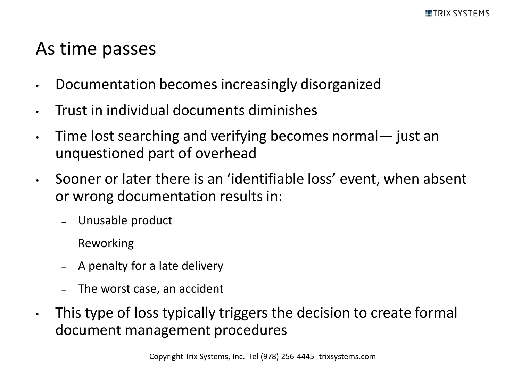#### As time passes

- Documentation becomes increasingly disorganized
- Trust in individual documents diminishes
- Time lost searching and verifying becomes normal— just an unquestioned part of overhead
- Sooner or later there is an 'identifiable loss' event, when absent or wrong documentation results in:
	- Unusable product
	- Reworking
	- A penalty for a late delivery
	- The worst case, an accident
- This type of loss typically triggers the decision to create formal document management procedures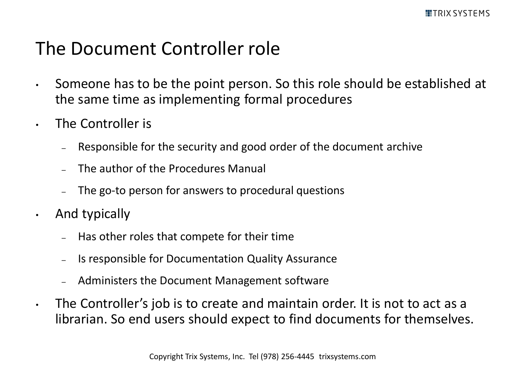#### The Document Controller role

- Someone has to be the point person. So this role should be established at the same time as implementing formal procedures
- The Controller is
	- Responsible for the security and good order of the document archive
	- The author of the Procedures Manual
	- The go-to person for answers to procedural questions
- And typically
	- Has other roles that compete for their time
	- Is responsible for Documentation Quality Assurance
	- Administers the Document Management software
- The Controller's job is to create and maintain order. It is not to act as a librarian. So end users should expect to find documents for themselves.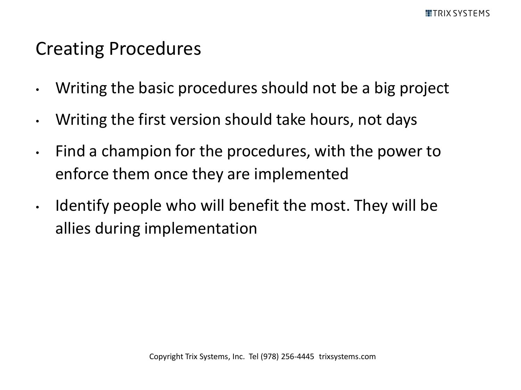#### Creating Procedures

- Writing the basic procedures should not be a big project
- Writing the first version should take hours, not days
- Find a champion for the procedures, with the power to enforce them once they are implemented
- Identify people who will benefit the most. They will be allies during implementation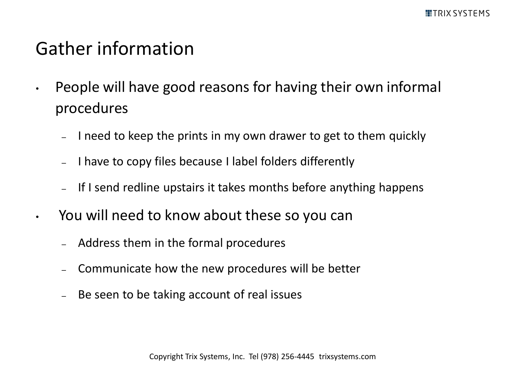#### Gather information

- People will have good reasons for having their own informal procedures
	- I need to keep the prints in my own drawer to get to them quickly
	- I have to copy files because I label folders differently
	- If I send redline upstairs it takes months before anything happens
- You will need to know about these so you can
	- Address them in the formal procedures
	- Communicate how the new procedures will be better
	- Be seen to be taking account of real issues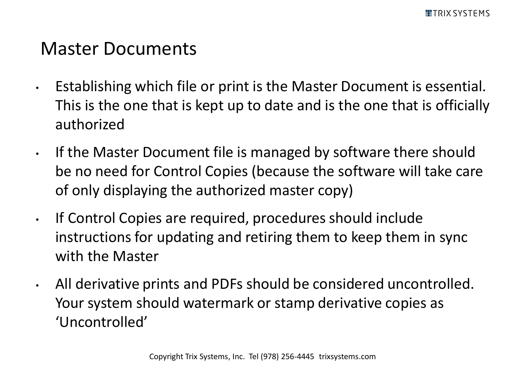#### Master Documents

- Establishing which file or print is the Master Document is essential. This is the one that is kept up to date and is the one that is officially authorized
- If the Master Document file is managed by software there should be no need for Control Copies (because the software will take care of only displaying the authorized master copy)
- If Control Copies are required, procedures should include instructions for updating and retiring them to keep them in sync with the Master
- All derivative prints and PDFs should be considered uncontrolled. Your system should watermark or stamp derivative copies as 'Uncontrolled'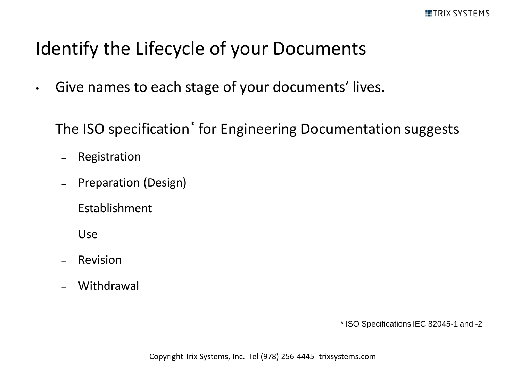# Identify the Lifecycle of your Documents

• Give names to each stage of your documents' lives.

The ISO specification\* for Engineering Documentation suggests

- Registration
- Preparation (Design)
- Establishment
- Use
- **Revision**
- Withdrawal

\* ISO Specifications IEC 82045-1 and -2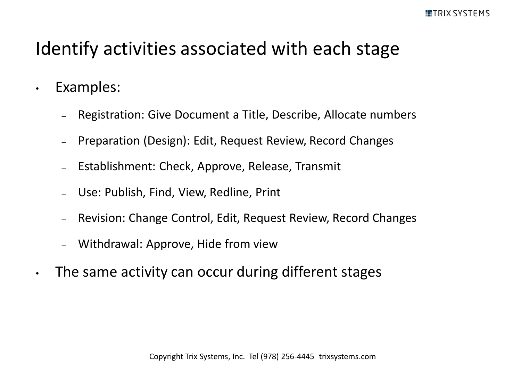#### Identify activities associated with each stage

- Examples:
	- Registration: Give Document a Title, Describe, Allocate numbers
	- Preparation (Design): Edit, Request Review, Record Changes
	- Establishment: Check, Approve, Release, Transmit
	- Use: Publish, Find, View, Redline, Print
	- Revision: Change Control, Edit, Request Review, Record Changes
	- Withdrawal: Approve, Hide from view
- The same activity can occur during different stages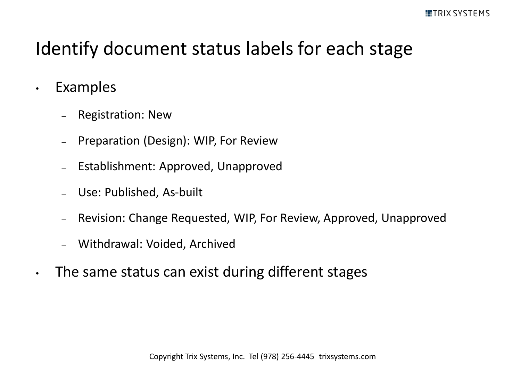## Identify document status labels for each stage

- Examples
	- Registration: New
	- Preparation (Design): WIP, For Review
	- Establishment: Approved, Unapproved
	- Use: Published, As-built
	- Revision: Change Requested, WIP, For Review, Approved, Unapproved
	- Withdrawal: Voided, Archived
- The same status can exist during different stages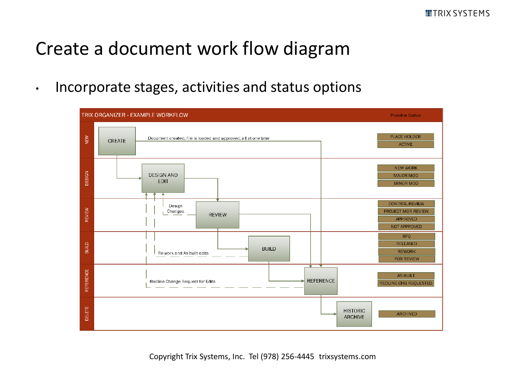#### Create a document work flow diagram

• Incorporate stages, activities and status options

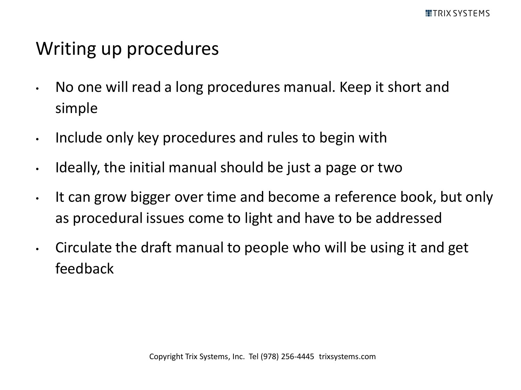#### Writing up procedures

- No one will read a long procedures manual. Keep it short and simple
- Include only key procedures and rules to begin with
- Ideally, the initial manual should be just a page or two
- It can grow bigger over time and become a reference book, but only as procedural issues come to light and have to be addressed
- Circulate the draft manual to people who will be using it and get feedback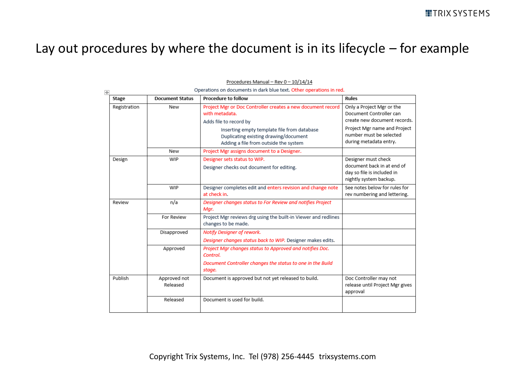#### Lay out procedures by where the document is in its lifecycle – for example

| 匣            | Operations on documents in dark blue text. Other operations in red. |                                                                                                                               |                                                                                                           |  |  |
|--------------|---------------------------------------------------------------------|-------------------------------------------------------------------------------------------------------------------------------|-----------------------------------------------------------------------------------------------------------|--|--|
| Stage        | <b>Document Status</b>                                              | <b>Procedure to follow</b>                                                                                                    | Rules                                                                                                     |  |  |
| Registration | New                                                                 | Project Mgr or Doc Controller creates a new document record<br>with metadata.<br>Adds file to record by                       | Only a Project Mgr or the<br>Document Controller can<br>create new document records.                      |  |  |
|              |                                                                     | Inserting empty template file from database<br>Duplicating existing drawing/document<br>Adding a file from outside the system | Project Mgr name and Project<br>number must be selected.<br>during metadata entry.                        |  |  |
|              | New                                                                 | Project Mgr assigns document to a Designer.                                                                                   |                                                                                                           |  |  |
| Design       | WIP                                                                 | Designer sets status to WIP.<br>Designer checks out document for editing.                                                     | Designer must check<br>document back in at end of<br>day so file is included in<br>nightly system backup. |  |  |
|              | WIP                                                                 | Designer completes edit and enters revision and change note<br>at check in.                                                   | See notes below for rules for<br>rev numbering and lettering.                                             |  |  |
| Review       | n/a                                                                 | Designer changes status to For Review and notifies Project<br>Mar.                                                            |                                                                                                           |  |  |
|              | For Review                                                          | Project Mgr reviews drg using the built-in Viewer and redlines<br>changes to be made.                                         |                                                                                                           |  |  |
|              | Disapproved                                                         | Notify Designer of rework.<br>Designer changes status back to WIP. Designer makes edits.                                      |                                                                                                           |  |  |
|              | Approved                                                            | Project Mgr changes status to Approved and notifies Doc.<br>Control.                                                          |                                                                                                           |  |  |
|              |                                                                     | Document Controller changes the status to one in the Build<br>stage.                                                          |                                                                                                           |  |  |
| Publish      | Approved not<br>Released                                            | Document is approved but not yet released to build.                                                                           | Doc Controller may not<br>release until Project Mgr gives<br>approval                                     |  |  |
|              | Released                                                            | Document is used for build.                                                                                                   |                                                                                                           |  |  |

#### Procedures Manual - Rev 0 - 10/14/14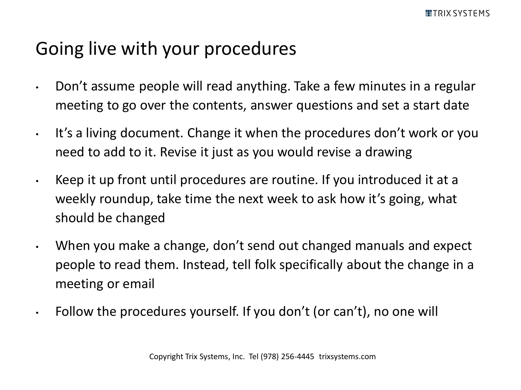#### Going live with your procedures

- Don't assume people will read anything. Take a few minutes in a regular meeting to go over the contents, answer questions and set a start date
- It's a living document. Change it when the procedures don't work or you need to add to it. Revise it just as you would revise a drawing
- Keep it up front until procedures are routine. If you introduced it at a weekly roundup, take time the next week to ask how it's going, what should be changed
- When you make a change, don't send out changed manuals and expect people to read them. Instead, tell folk specifically about the change in a meeting or email
- Follow the procedures yourself. If you don't (or can't), no one will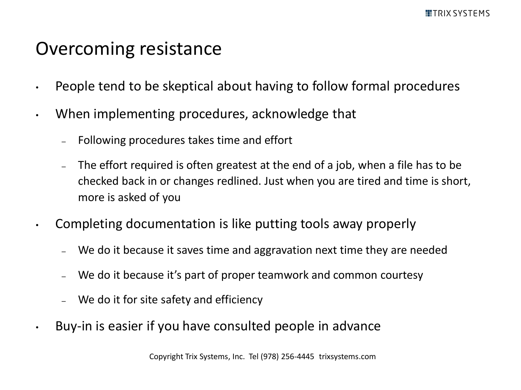#### Overcoming resistance

- People tend to be skeptical about having to follow formal procedures
- When implementing procedures, acknowledge that
	- Following procedures takes time and effort
	- The effort required is often greatest at the end of a job, when a file has to be checked back in or changes redlined. Just when you are tired and time is short, more is asked of you
- Completing documentation is like putting tools away properly
	- We do it because it saves time and aggravation next time they are needed
	- We do it because it's part of proper teamwork and common courtesy
	- We do it for site safety and efficiency
- Buy-in is easier if you have consulted people in advance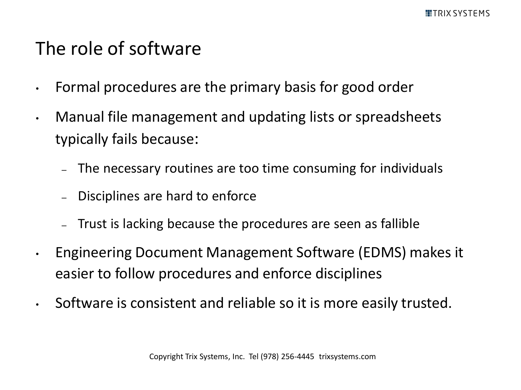#### The role of software

- Formal procedures are the primary basis for good order
- Manual file management and updating lists or spreadsheets typically fails because:
	- The necessary routines are too time consuming for individuals
	- Disciplines are hard to enforce
	- Trust is lacking because the procedures are seen as fallible
- Engineering Document Management Software (EDMS) makes it easier to follow procedures and enforce disciplines
- Software is consistent and reliable so it is more easily trusted.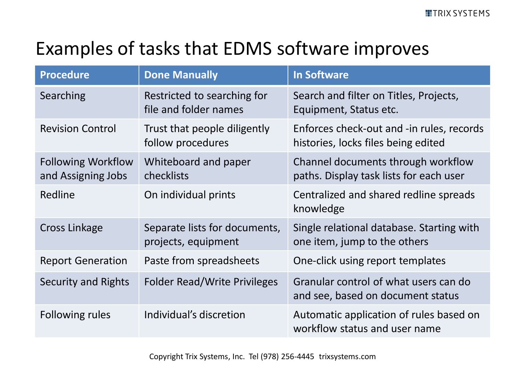# Examples of tasks that EDMS software improves

| <b>Procedure</b>                                | <b>Done Manually</b>                                 | <b>In Software</b>                                                               |
|-------------------------------------------------|------------------------------------------------------|----------------------------------------------------------------------------------|
| Searching                                       | Restricted to searching for<br>file and folder names | Search and filter on Titles, Projects,<br>Equipment, Status etc.                 |
| <b>Revision Control</b>                         | Trust that people diligently<br>follow procedures    | Enforces check-out and -in rules, records<br>histories, locks files being edited |
| <b>Following Workflow</b><br>and Assigning Jobs | Whiteboard and paper<br>checklists                   | Channel documents through workflow<br>paths. Display task lists for each user    |
| Redline                                         | On individual prints                                 | Centralized and shared redline spreads<br>knowledge                              |
| <b>Cross Linkage</b>                            | Separate lists for documents,<br>projects, equipment | Single relational database. Starting with<br>one item, jump to the others        |
| <b>Report Generation</b>                        | Paste from spreadsheets                              | One-click using report templates                                                 |
| Security and Rights                             | <b>Folder Read/Write Privileges</b>                  | Granular control of what users can do<br>and see, based on document status       |
| Following rules                                 | Individual's discretion                              | Automatic application of rules based on<br>workflow status and user name         |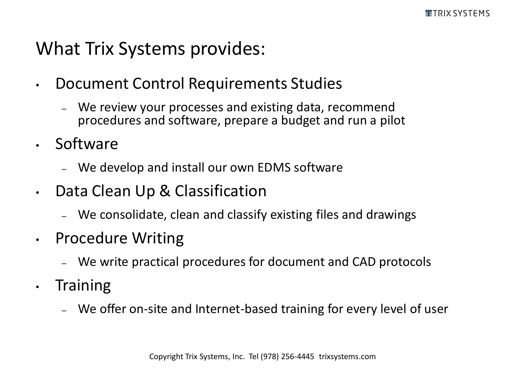#### What Trix Systems provides:

- Document Control Requirements Studies
	- We review your processes and existing data, recommend procedures and software, prepare a budget and run a pilot
- Software
	- We develop and install our own EDMS software
- Data Clean Up & Classification
	- We consolidate, clean and classify existing files and drawings
- Procedure Writing
	- We write practical procedures for document and CAD protocols
- Training
	- We offer on-site and Internet-based training for every level of user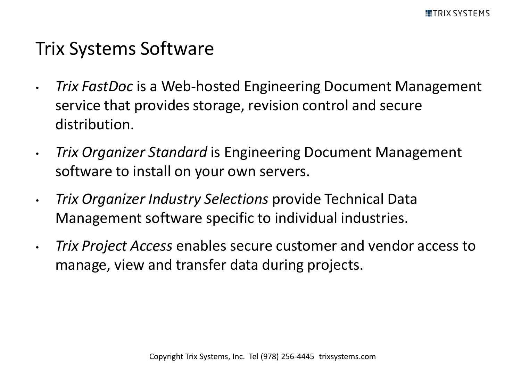#### Trix Systems Software

- *Trix FastDoc* is a Web-hosted Engineering Document Management service that provides storage, revision control and secure distribution.
- *Trix Organizer Standard* is Engineering Document Management software to install on your own servers.
- *Trix Organizer Industry Selections* provide Technical Data Management software specific to individual industries.
- *Trix Project Access* enables secure customer and vendor access to manage, view and transfer data during projects.